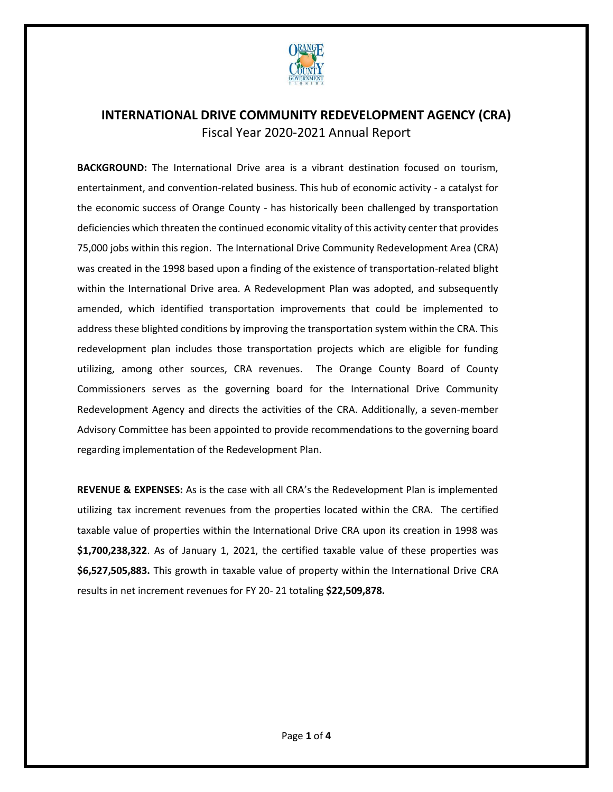

**BACKGROUND:** The International Drive area is a vibrant destination focused on tourism, entertainment, and convention-related business. This hub of economic activity - a catalyst for the economic success of Orange County - has historically been challenged by transportation deficiencies which threaten the continued economic vitality of this activity center that provides 75,000 jobs within this region. The International Drive Community Redevelopment Area (CRA) was created in the 1998 based upon a finding of the existence of transportation-related blight within the International Drive area. A Redevelopment Plan was adopted, and subsequently amended, which identified transportation improvements that could be implemented to address these blighted conditions by improving the transportation system within the CRA. This redevelopment plan includes those transportation projects which are eligible for funding utilizing, among other sources, CRA revenues. The Orange County Board of County Commissioners serves as the governing board for the International Drive Community Redevelopment Agency and directs the activities of the CRA. Additionally, a seven-member Advisory Committee has been appointed to provide recommendations to the governing board regarding implementation of the Redevelopment Plan.

**REVENUE & EXPENSES:** As is the case with all CRA's the Redevelopment Plan is implemented utilizing tax increment revenues from the properties located within the CRA. The certified taxable value of properties within the International Drive CRA upon its creation in 1998 was **\$1,700,238,322**. As of January 1, 2021, the certified taxable value of these properties was **\$6,527,505,883.** This growth in taxable value of property within the International Drive CRA results in net increment revenues for FY 20- 21 totaling **\$22,509,878.**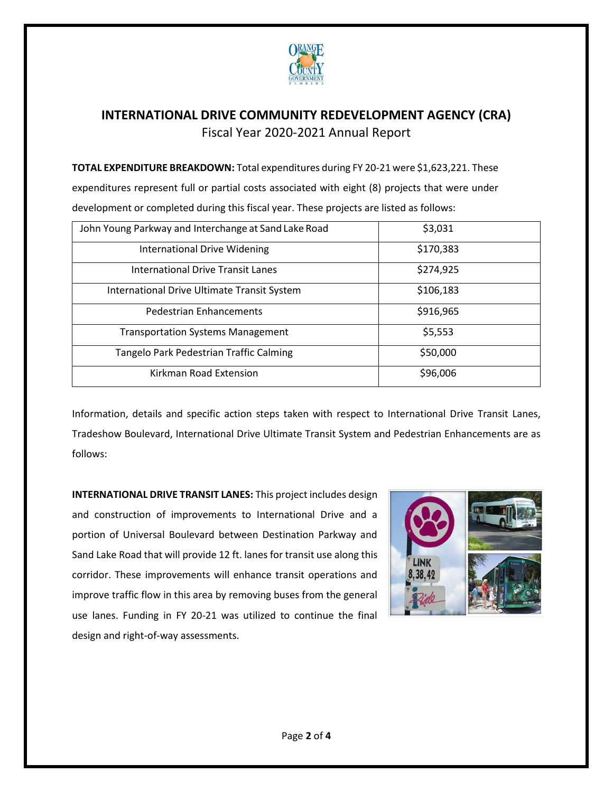

**TOTAL EXPENDITURE BREAKDOWN:** Total expenditures during FY 20-21 were \$1,623,221. These expenditures represent full or partial costs associated with eight (8) projects that were under development or completed during this fiscal year. These projects are listed as follows:

| John Young Parkway and Interchange at Sand Lake Road | \$3,031   |
|------------------------------------------------------|-----------|
| International Drive Widening                         | \$170,383 |
| <b>International Drive Transit Lanes</b>             | \$274,925 |
| International Drive Ultimate Transit System          | \$106,183 |
| <b>Pedestrian Enhancements</b>                       | \$916,965 |
| <b>Transportation Systems Management</b>             | \$5,553   |
| Tangelo Park Pedestrian Traffic Calming              | \$50,000  |
| Kirkman Road Extension                               | \$96,006  |

Information, details and specific action steps taken with respect to International Drive Transit Lanes, Tradeshow Boulevard, International Drive Ultimate Transit System and Pedestrian Enhancements are as follows:

**INTERNATIONAL DRIVE TRANSIT LANES:** This project includes design and construction of improvements to International Drive and a portion of Universal Boulevard between Destination Parkway and Sand Lake Road that will provide 12 ft. lanes for transit use along this corridor. These improvements will enhance transit operations and improve traffic flow in this area by removing buses from the general use lanes. Funding in FY 20-21 was utilized to continue the final design and right-of-way assessments.

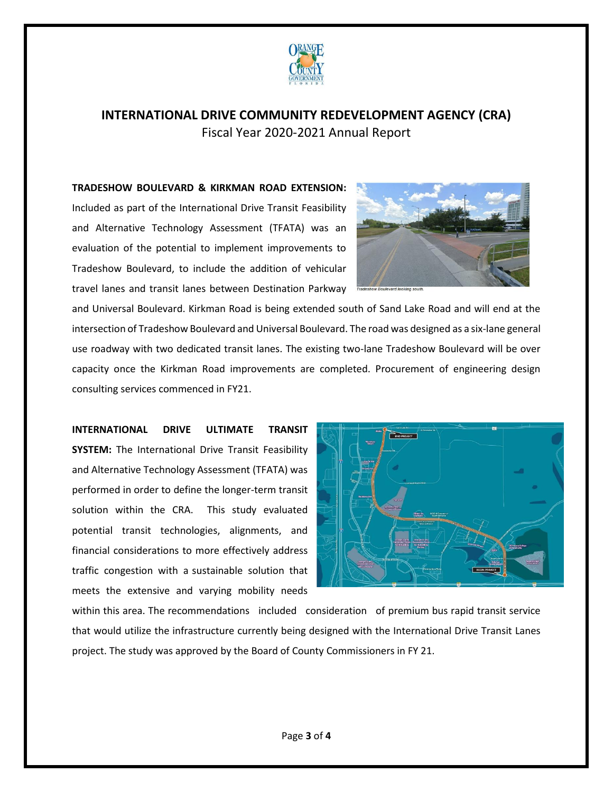

# **TRADESHOW BOULEVARD & KIRKMAN ROAD EXTENSION:**

Included as part of the International Drive Transit Feasibility and Alternative Technology Assessment (TFATA) was an evaluation of the potential to implement improvements to Tradeshow Boulevard, to include the addition of vehicular travel lanes and transit lanes between Destination Parkway



and Universal Boulevard. Kirkman Road is being extended south of Sand Lake Road and will end at the intersection of Tradeshow Boulevard and Universal Boulevard. The road was designed as a six-lane general use roadway with two dedicated transit lanes. The existing two-lane Tradeshow Boulevard will be over capacity once the Kirkman Road improvements are completed. Procurement of engineering design consulting services commenced in FY21.

**INTERNATIONAL DRIVE ULTIMATE TRANSIT SYSTEM:** The International Drive Transit Feasibility and Alternative Technology Assessment (TFATA) was performed in order to define the longer-term transit solution within the CRA. This study evaluated potential transit technologies, alignments, and financial considerations to more effectively address traffic congestion with a sustainable solution that meets the extensive and varying mobility needs



within this area. The recommendations included consideration of premium bus rapid transit service that would utilize the infrastructure currently being designed with the International Drive Transit Lanes project. The study was approved by the Board of County Commissioners in FY 21.